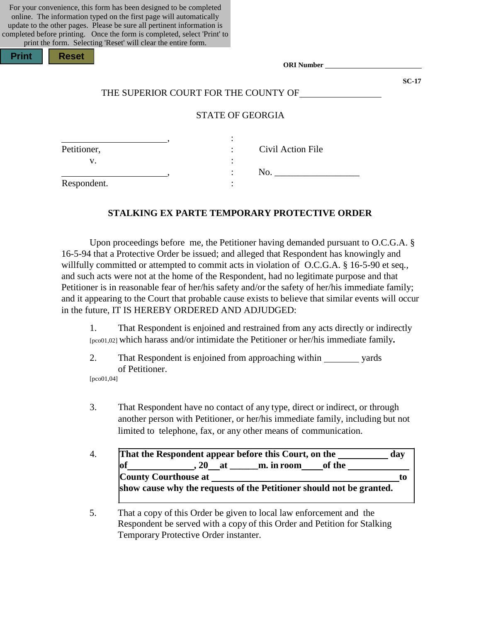| For your convenience, this form has been designed to be completed        |
|--------------------------------------------------------------------------|
| online. The information typed on the first page will automatically       |
| update to the other pages. Please be sure all pertinent information is   |
| completed before printing. Once the form is completed, select 'Print' to |
| print the form. Selecting 'Reset' will clear the entire form.            |

| Print |  |
|-------|--|
|       |  |

*<u>eset</u>* 

**SC-17**

# THE SUPERIOR COURT FOR THE COUNTY OF

# STATE OF GEORGIA

| Petitioner, | Civil Action File<br>٠ |
|-------------|------------------------|
| ٠.          |                        |
|             | N <sub>O</sub> .       |
| Respondent. |                        |

### **STALKING EX PARTE TEMPORARY PROTECTIVE ORDER**

Upon proceedings before me, the Petitioner having demanded pursuant to O.C.G.A. § 16-5-94 that a Protective Order be issued; and alleged that Respondent has knowingly and willfully committed or attempted to commit acts in violation of O.C.G.A. § 16-5-90 et seq*.,*  and such acts were not at the home of the Respondent, had no legitimate purpose and that Petitioner is in reasonable fear of her/his safety and/or the safety of her/his immediate family; and it appearing to the Court that probable cause exists to believe that similar events will occur in the future, IT IS HEREBY ORDERED AND ADJUDGED:

1. That Respondent is enjoined and restrained from any acts directly or indirectly [pco01,02] which harass and/or intimidate the Petitioner or her/his immediate family**.**

2. That Respondent is enjoined from approaching within yards of Petitioner. [pco01,04]

- 3. That Respondent have no contact of any type, direct or indirect, or through another person with Petitioner, or her/his immediate family, including but not limited to telephone, fax, or any other means of communication.
- 4. **That the Respondent appear before this Court, on the day of , 20 at \_\_\_\_\_\_m. in room of the County Courthouse at the country Courthouse at the country Courthouse at the country Country Country Country Country Country Country Country Country Country Country Country Country Country Country Country Country Country show cause why the requests of the Petitioner should not be granted.**

5. That a copy of this Order be given to local law enforcement and the Respondent be served with a copy of this Order and Petition for Stalking Temporary Protective Order instanter.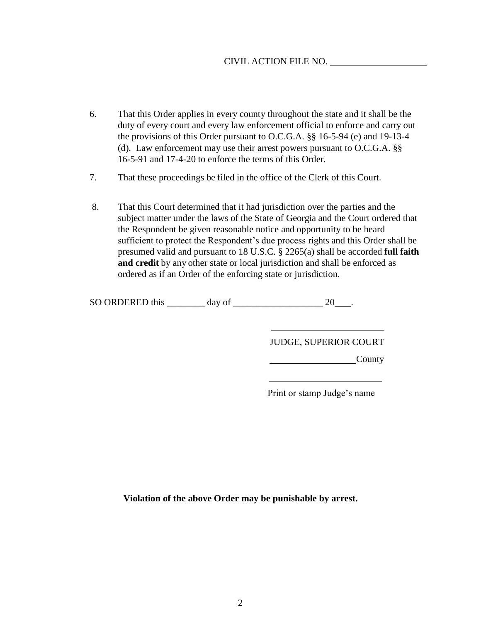# CIVIL ACTION FILE NO.

- 6. That this Order applies in every county throughout the state and it shall be the duty of every court and every law enforcement official to enforce and carry out the provisions of this Order pursuant to O.C.G.A. §§ 16-5-94 (e) and 19-13-4 (d). Law enforcement may use their arrest powers pursuant to O.C.G.A. §§ 16-5-91 and 17-4-20 to enforce the terms of this Order.
- 7. That these proceedings be filed in the office of the Clerk of this Court.
- 8. That this Court determined that it had jurisdiction over the parties and the subject matter under the laws of the State of Georgia and the Court ordered that the Respondent be given reasonable notice and opportunity to be heard sufficient to protect the Respondent's due process rights and this Order shall be presumed valid and pursuant to 18 U.S.C. § 2265(a) shall be accorded **full faith and credit** by any other state or local jurisdiction and shall be enforced as ordered as if an Order of the enforcing state or jurisdiction.

SO ORDERED this  $\_\_\_\_\_\_\$  day of  $\_\_\_\_\_\_\_\_\_\_$  20  $\_\.\_\$ 

JUDGE, SUPERIOR COURT

County

Print or stamp Judge's name

**Violation of the above Order may be punishable by arrest.**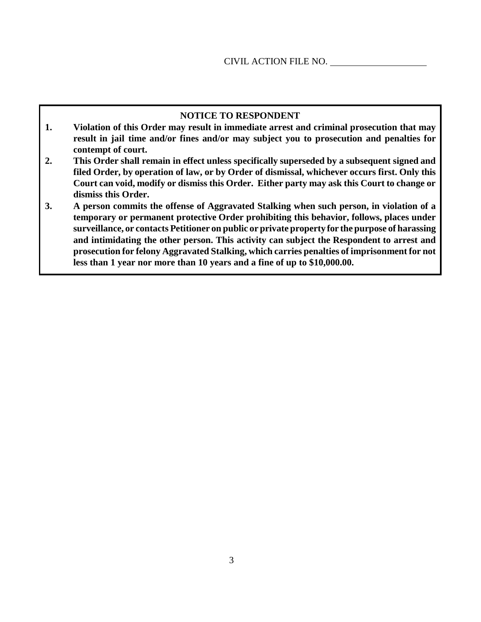## **NOTICE TO RESPONDENT**

- **1. Violation of this Order may result in immediate arrest and criminal prosecution that may result in jail time and/or fines and/or may subject you to prosecution and penalties for contempt of court.**
- **2. This Order shall remain in effect unless specifically superseded by a subsequent signed and filed Order, by operation of law, or by Order of dismissal, whichever occurs first. Only this Court can void, modify or dismiss this Order. Either party may ask this Court to change or dismiss this Order.**
- **3. A person commits the offense of Aggravated Stalking when such person, in violation of a temporary or permanent protective Order prohibiting this behavior, follows, places under surveillance, or contacts Petitioner on public or private property for the purpose of harassing and intimidating the other person. This activity can subject the Respondent to arrest and prosecution for felony Aggravated Stalking, which carries penalties of imprisonment for not less than 1 year nor more than 10 years and a fine of up to \$10,000.00.**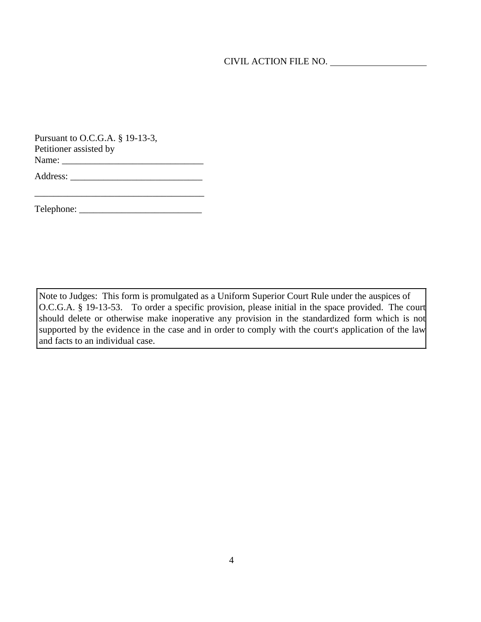CIVIL ACTION FILE NO.

| Pursuant to O.C.G.A. § 19-13-3, |
|---------------------------------|
| Petitioner assisted by          |
| Name:                           |
|                                 |

Address: \_\_\_\_\_\_\_\_\_\_\_\_\_\_\_\_\_\_\_\_\_\_\_\_\_\_\_\_

Telephone: \_\_\_\_\_\_\_\_\_\_\_\_\_\_\_\_\_\_\_\_\_\_\_\_\_\_

\_\_\_\_\_\_\_\_\_\_\_\_\_\_\_\_\_\_\_\_\_\_\_\_\_\_\_\_\_\_\_\_\_\_\_\_

Note to Judges: This form is promulgated as a Uniform Superior Court Rule under the auspices of O.C.G.A. § 19-13-53. To order a specific provision, please initial in the space provided. The court should delete or otherwise make inoperative any provision in the standardized form which is not supported by the evidence in the case and in order to comply with the court's application of the law and facts to an individual case.